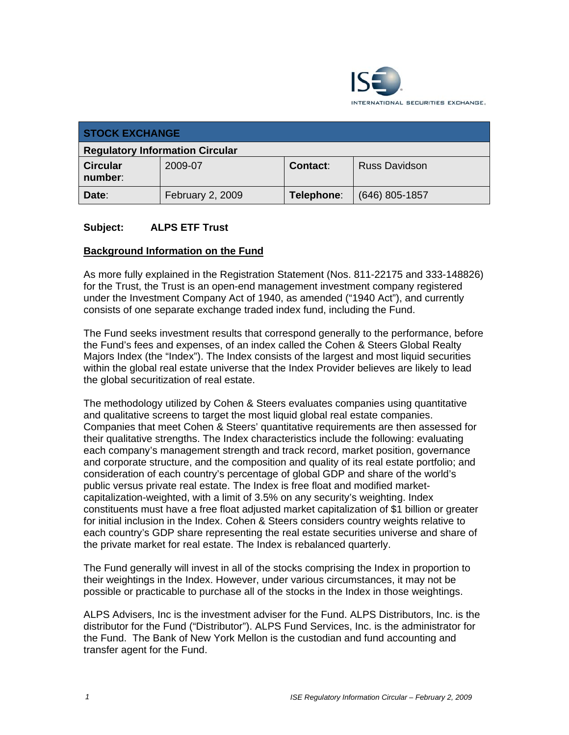

| <b>STOCK EXCHANGE</b>                  |                  |                 |                      |
|----------------------------------------|------------------|-----------------|----------------------|
| <b>Regulatory Information Circular</b> |                  |                 |                      |
| <b>Circular</b><br>number:             | 2009-07          | <b>Contact:</b> | <b>Russ Davidson</b> |
| Date:                                  | February 2, 2009 | Telephone:      | (646) 805-1857       |

#### **Subject: ALPS ETF Trust**

#### **Background Information on the Fund**

As more fully explained in the Registration Statement (Nos. 811-22175 and 333-148826) for the Trust, the Trust is an open-end management investment company registered under the Investment Company Act of 1940, as amended ("1940 Act"), and currently consists of one separate exchange traded index fund, including the Fund.

The Fund seeks investment results that correspond generally to the performance, before the Fund's fees and expenses, of an index called the Cohen & Steers Global Realty Majors Index (the "Index"). The Index consists of the largest and most liquid securities within the global real estate universe that the Index Provider believes are likely to lead the global securitization of real estate.

The methodology utilized by Cohen & Steers evaluates companies using quantitative and qualitative screens to target the most liquid global real estate companies. Companies that meet Cohen & Steers' quantitative requirements are then assessed for their qualitative strengths. The Index characteristics include the following: evaluating each company's management strength and track record, market position, governance and corporate structure, and the composition and quality of its real estate portfolio; and consideration of each country's percentage of global GDP and share of the world's public versus private real estate. The Index is free float and modified marketcapitalization-weighted, with a limit of 3.5% on any security's weighting. Index constituents must have a free float adjusted market capitalization of \$1 billion or greater for initial inclusion in the Index. Cohen & Steers considers country weights relative to each country's GDP share representing the real estate securities universe and share of the private market for real estate. The Index is rebalanced quarterly.

The Fund generally will invest in all of the stocks comprising the Index in proportion to their weightings in the Index. However, under various circumstances, it may not be possible or practicable to purchase all of the stocks in the Index in those weightings.

ALPS Advisers, Inc is the investment adviser for the Fund. ALPS Distributors, Inc. is the distributor for the Fund ("Distributor"). ALPS Fund Services, Inc. is the administrator for the Fund. The Bank of New York Mellon is the custodian and fund accounting and transfer agent for the Fund.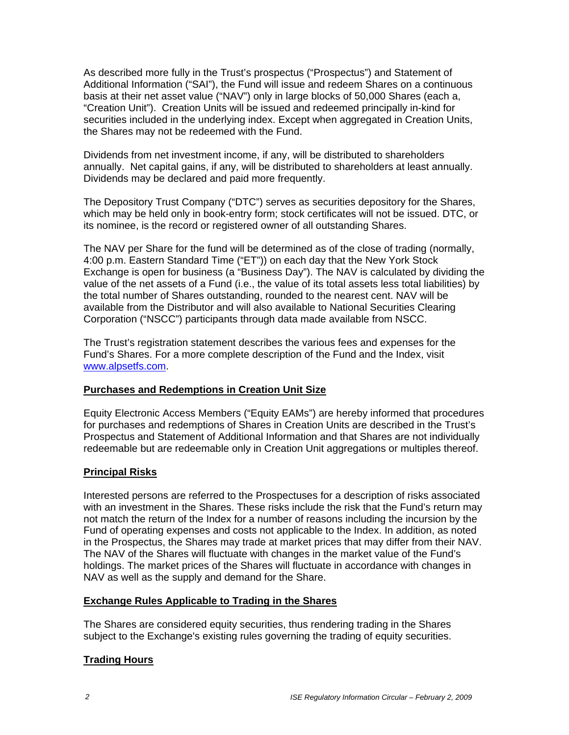As described more fully in the Trust's prospectus ("Prospectus") and Statement of Additional Information ("SAI"), the Fund will issue and redeem Shares on a continuous basis at their net asset value ("NAV") only in large blocks of 50,000 Shares (each a, "Creation Unit"). Creation Units will be issued and redeemed principally in-kind for securities included in the underlying index. Except when aggregated in Creation Units, the Shares may not be redeemed with the Fund.

Dividends from net investment income, if any, will be distributed to shareholders annually. Net capital gains, if any, will be distributed to shareholders at least annually. Dividends may be declared and paid more frequently.

The Depository Trust Company ("DTC") serves as securities depository for the Shares, which may be held only in book-entry form; stock certificates will not be issued. DTC, or its nominee, is the record or registered owner of all outstanding Shares.

The NAV per Share for the fund will be determined as of the close of trading (normally, 4:00 p.m. Eastern Standard Time ("ET")) on each day that the New York Stock Exchange is open for business (a "Business Day"). The NAV is calculated by dividing the value of the net assets of a Fund (i.e., the value of its total assets less total liabilities) by the total number of Shares outstanding, rounded to the nearest cent. NAV will be available from the Distributor and will also available to National Securities Clearing Corporation ("NSCC") participants through data made available from NSCC.

The Trust's registration statement describes the various fees and expenses for the Fund's Shares. For a more complete description of the Fund and the Index, visit www.alpsetfs.com.

#### **Purchases and Redemptions in Creation Unit Size**

Equity Electronic Access Members ("Equity EAMs") are hereby informed that procedures for purchases and redemptions of Shares in Creation Units are described in the Trust's Prospectus and Statement of Additional Information and that Shares are not individually redeemable but are redeemable only in Creation Unit aggregations or multiples thereof.

#### **Principal Risks**

Interested persons are referred to the Prospectuses for a description of risks associated with an investment in the Shares. These risks include the risk that the Fund's return may not match the return of the Index for a number of reasons including the incursion by the Fund of operating expenses and costs not applicable to the Index. In addition, as noted in the Prospectus, the Shares may trade at market prices that may differ from their NAV. The NAV of the Shares will fluctuate with changes in the market value of the Fund's holdings. The market prices of the Shares will fluctuate in accordance with changes in NAV as well as the supply and demand for the Share.

#### **Exchange Rules Applicable to Trading in the Shares**

The Shares are considered equity securities, thus rendering trading in the Shares subject to the Exchange's existing rules governing the trading of equity securities.

## **Trading Hours**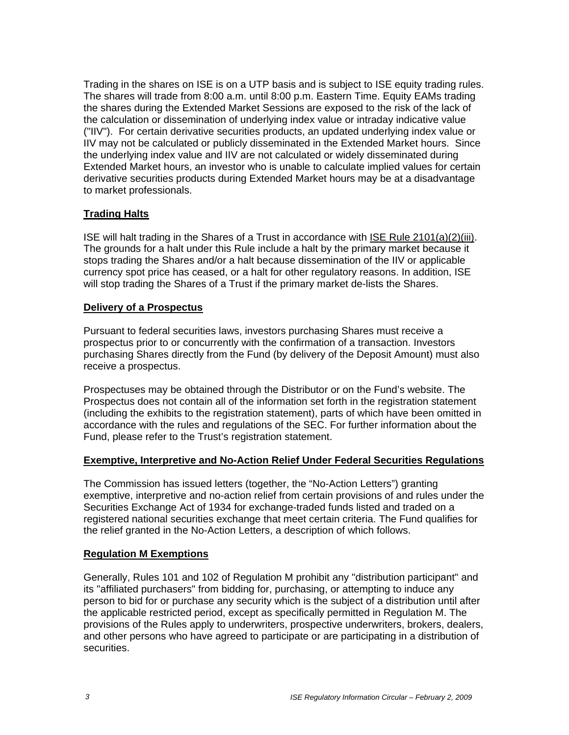Trading in the shares on ISE is on a UTP basis and is subject to ISE equity trading rules. The shares will trade from 8:00 a.m. until 8:00 p.m. Eastern Time. Equity EAMs trading the shares during the Extended Market Sessions are exposed to the risk of the lack of the calculation or dissemination of underlying index value or intraday indicative value ("IIV"). For certain derivative securities products, an updated underlying index value or IIV may not be calculated or publicly disseminated in the Extended Market hours. Since the underlying index value and IIV are not calculated or widely disseminated during Extended Market hours, an investor who is unable to calculate implied values for certain derivative securities products during Extended Market hours may be at a disadvantage to market professionals.

## **Trading Halts**

ISE will halt trading in the Shares of a Trust in accordance with ISE Rule 2101(a)(2)(iii). The grounds for a halt under this Rule include a halt by the primary market because it stops trading the Shares and/or a halt because dissemination of the IIV or applicable currency spot price has ceased, or a halt for other regulatory reasons. In addition, ISE will stop trading the Shares of a Trust if the primary market de-lists the Shares.

#### **Delivery of a Prospectus**

Pursuant to federal securities laws, investors purchasing Shares must receive a prospectus prior to or concurrently with the confirmation of a transaction. Investors purchasing Shares directly from the Fund (by delivery of the Deposit Amount) must also receive a prospectus.

Prospectuses may be obtained through the Distributor or on the Fund's website. The Prospectus does not contain all of the information set forth in the registration statement (including the exhibits to the registration statement), parts of which have been omitted in accordance with the rules and regulations of the SEC. For further information about the Fund, please refer to the Trust's registration statement.

#### **Exemptive, Interpretive and No-Action Relief Under Federal Securities Regulations**

The Commission has issued letters (together, the "No-Action Letters") granting exemptive, interpretive and no-action relief from certain provisions of and rules under the Securities Exchange Act of 1934 for exchange-traded funds listed and traded on a registered national securities exchange that meet certain criteria. The Fund qualifies for the relief granted in the No-Action Letters, a description of which follows.

#### **Regulation M Exemptions**

Generally, Rules 101 and 102 of Regulation M prohibit any "distribution participant" and its "affiliated purchasers" from bidding for, purchasing, or attempting to induce any person to bid for or purchase any security which is the subject of a distribution until after the applicable restricted period, except as specifically permitted in Regulation M. The provisions of the Rules apply to underwriters, prospective underwriters, brokers, dealers, and other persons who have agreed to participate or are participating in a distribution of securities.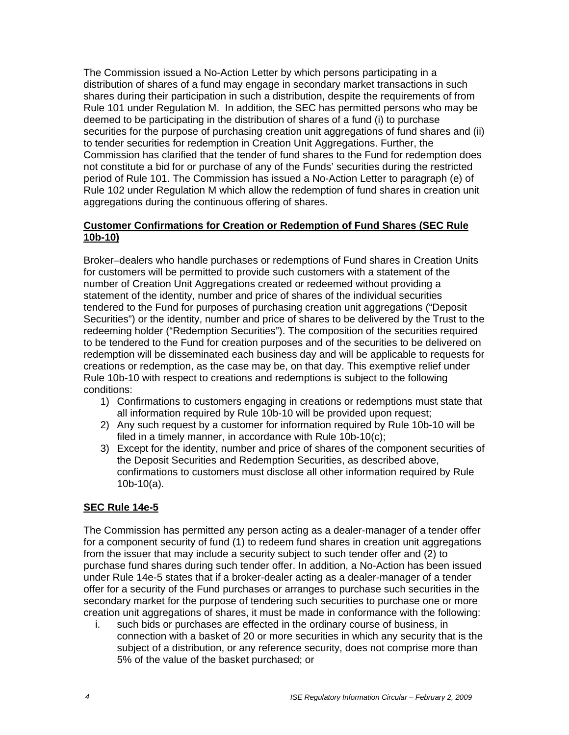The Commission issued a No-Action Letter by which persons participating in a distribution of shares of a fund may engage in secondary market transactions in such shares during their participation in such a distribution, despite the requirements of from Rule 101 under Regulation M. In addition, the SEC has permitted persons who may be deemed to be participating in the distribution of shares of a fund (i) to purchase securities for the purpose of purchasing creation unit aggregations of fund shares and (ii) to tender securities for redemption in Creation Unit Aggregations. Further, the Commission has clarified that the tender of fund shares to the Fund for redemption does not constitute a bid for or purchase of any of the Funds' securities during the restricted period of Rule 101. The Commission has issued a No-Action Letter to paragraph (e) of Rule 102 under Regulation M which allow the redemption of fund shares in creation unit aggregations during the continuous offering of shares.

#### **Customer Confirmations for Creation or Redemption of Fund Shares (SEC Rule 10b-10)**

Broker–dealers who handle purchases or redemptions of Fund shares in Creation Units for customers will be permitted to provide such customers with a statement of the number of Creation Unit Aggregations created or redeemed without providing a statement of the identity, number and price of shares of the individual securities tendered to the Fund for purposes of purchasing creation unit aggregations ("Deposit Securities") or the identity, number and price of shares to be delivered by the Trust to the redeeming holder ("Redemption Securities"). The composition of the securities required to be tendered to the Fund for creation purposes and of the securities to be delivered on redemption will be disseminated each business day and will be applicable to requests for creations or redemption, as the case may be, on that day. This exemptive relief under Rule 10b-10 with respect to creations and redemptions is subject to the following conditions:

- 1) Confirmations to customers engaging in creations or redemptions must state that all information required by Rule 10b-10 will be provided upon request;
- 2) Any such request by a customer for information required by Rule 10b-10 will be filed in a timely manner, in accordance with Rule 10b-10(c);
- 3) Except for the identity, number and price of shares of the component securities of the Deposit Securities and Redemption Securities, as described above, confirmations to customers must disclose all other information required by Rule 10b-10(a).

#### **SEC Rule 14e-5**

The Commission has permitted any person acting as a dealer-manager of a tender offer for a component security of fund (1) to redeem fund shares in creation unit aggregations from the issuer that may include a security subject to such tender offer and (2) to purchase fund shares during such tender offer. In addition, a No-Action has been issued under Rule 14e-5 states that if a broker-dealer acting as a dealer-manager of a tender offer for a security of the Fund purchases or arranges to purchase such securities in the secondary market for the purpose of tendering such securities to purchase one or more creation unit aggregations of shares, it must be made in conformance with the following:

i. such bids or purchases are effected in the ordinary course of business, in connection with a basket of 20 or more securities in which any security that is the subject of a distribution, or any reference security, does not comprise more than 5% of the value of the basket purchased; or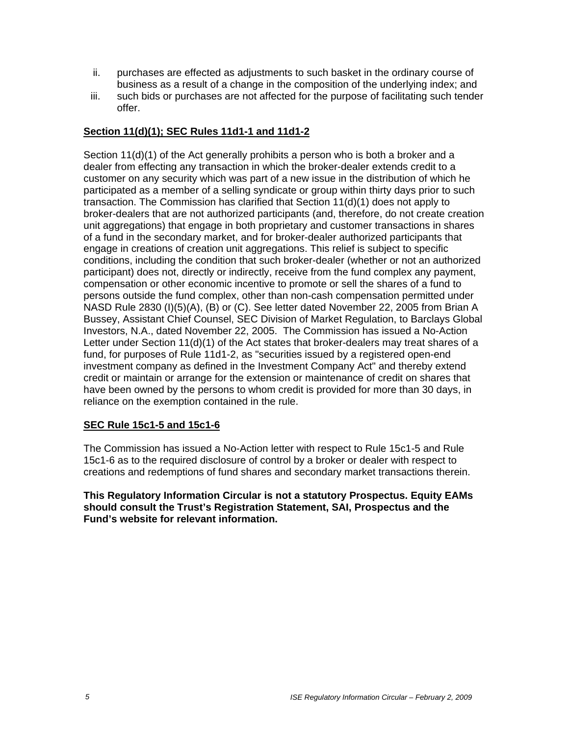- ii. purchases are effected as adjustments to such basket in the ordinary course of business as a result of a change in the composition of the underlying index; and
- iii. such bids or purchases are not affected for the purpose of facilitating such tender offer.

### **Section 11(d)(1); SEC Rules 11d1-1 and 11d1-2**

Section 11(d)(1) of the Act generally prohibits a person who is both a broker and a dealer from effecting any transaction in which the broker-dealer extends credit to a customer on any security which was part of a new issue in the distribution of which he participated as a member of a selling syndicate or group within thirty days prior to such transaction. The Commission has clarified that Section 11(d)(1) does not apply to broker-dealers that are not authorized participants (and, therefore, do not create creation unit aggregations) that engage in both proprietary and customer transactions in shares of a fund in the secondary market, and for broker-dealer authorized participants that engage in creations of creation unit aggregations. This relief is subject to specific conditions, including the condition that such broker-dealer (whether or not an authorized participant) does not, directly or indirectly, receive from the fund complex any payment, compensation or other economic incentive to promote or sell the shares of a fund to persons outside the fund complex, other than non-cash compensation permitted under NASD Rule 2830 (I)(5)(A), (B) or (C). See letter dated November 22, 2005 from Brian A Bussey, Assistant Chief Counsel, SEC Division of Market Regulation, to Barclays Global Investors, N.A., dated November 22, 2005. The Commission has issued a No-Action Letter under Section 11(d)(1) of the Act states that broker-dealers may treat shares of a fund, for purposes of Rule 11d1-2, as "securities issued by a registered open-end investment company as defined in the Investment Company Act" and thereby extend credit or maintain or arrange for the extension or maintenance of credit on shares that have been owned by the persons to whom credit is provided for more than 30 days, in reliance on the exemption contained in the rule.

#### **SEC Rule 15c1-5 and 15c1-6**

The Commission has issued a No-Action letter with respect to Rule 15c1-5 and Rule 15c1-6 as to the required disclosure of control by a broker or dealer with respect to creations and redemptions of fund shares and secondary market transactions therein.

**This Regulatory Information Circular is not a statutory Prospectus. Equity EAMs should consult the Trust's Registration Statement, SAI, Prospectus and the Fund's website for relevant information.**